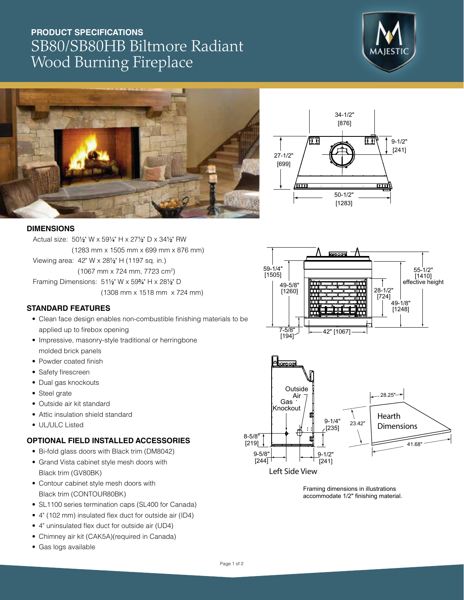# **PRODUCT SPECIFICATIONS** SB80/SB80HB Biltmore Radiant Wood Burning Fireplace







#### **DIMENSIONS**

Actual size: 501 ⁄2" W x 591 ⁄4" H x 271 ⁄2" D x 341 ⁄2" RW (1283 mm x 1505 mm x 699 mm x 876 mm) Viewing area: 42" W x 281/<sub>2</sub>" H (1197 sq. in.) (1067 mm x 724 mm, 7723 cm2 ) Framing Dimensions: 511/<sub>2</sub>" W x 59<sup>3</sup>/4" H x 281/2" D (1308 mm x 1518 mm x 724 mm)

### **STANDARD FEATURES**

- Clean face design enables non-combustible finishing materials to be applied up to firebox opening
- Impressive, masonry-style traditional or herringbone molded brick panels
- Powder coated finish
- Safety firescreen
- Dual gas knockouts
- Steel grate
- Outside air kit standard
- Attic insulation shield standard
- UL/ULC Listed

### **OPTIONAL FIELD INSTALLED ACCESSORIES**

- Bi-fold glass doors with Black trim (DM8042)
- Grand Vista cabinet style mesh doors with Black trim (GV80BK)
- Contour cabinet style mesh doors with Black trim (CONTOUR80BK)
- SL1100 series termination caps (SL400 for Canada)
- 4" (102 mm) insulated flex duct for outside air (ID4)
- 4" uninsulated flex duct for outside air (UD4)
- Chimney air kit (CAK5A)(required in Canada)
- Gas logs available





Framing dimensions in illustrations accommodate 1/2" finishing material.